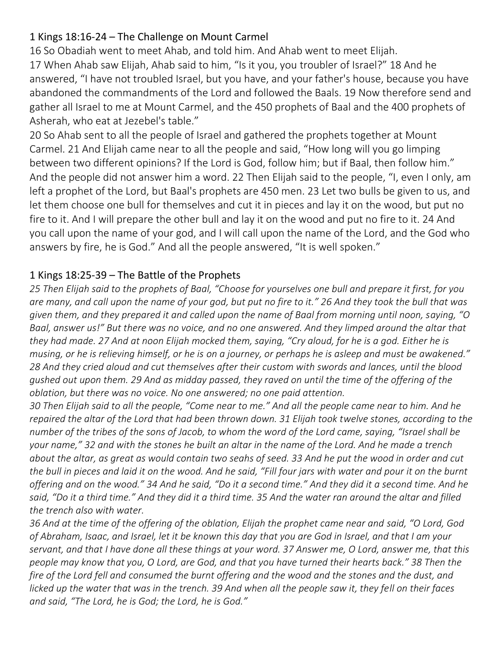## 1 Kings 18:16-24 – The Challenge on Mount Carmel

16 So Obadiah went to meet Ahab, and told him. And Ahab went to meet Elijah. 17 When Ahab saw Elijah, Ahab said to him, "Is it you, you troubler of Israel?" 18 And he answered, "I have not troubled Israel, but you have, and your father's house, because you have abandoned the commandments of the Lord and followed the Baals. 19 Now therefore send and gather all Israel to me at Mount Carmel, and the 450 prophets of Baal and the 400 prophets of Asherah, who eat at Jezebel's table."

20 So Ahab sent to all the people of Israel and gathered the prophets together at Mount Carmel. 21 And Elijah came near to all the people and said, "How long will you go limping between two different opinions? If the Lord is God, follow him; but if Baal, then follow him." And the people did not answer him a word. 22 Then Elijah said to the people, "I, even I only, am left a prophet of the Lord, but Baal's prophets are 450 men. 23 Let two bulls be given to us, and let them choose one bull for themselves and cut it in pieces and lay it on the wood, but put no fire to it. And I will prepare the other bull and lay it on the wood and put no fire to it. 24 And you call upon the name of your god, and I will call upon the name of the Lord, and the God who answers by fire, he is God." And all the people answered, "It is well spoken."

## 1 Kings 18:25-39 – The Battle of the Prophets

*25 Then Elijah said to the prophets of Baal, "Choose for yourselves one bull and prepare it first, for you are many, and call upon the name of your god, but put no fire to it." 26 And they took the bull that was given them, and they prepared it and called upon the name of Baal from morning until noon, saying, "O Baal, answer us!" But there was no voice, and no one answered. And they limped around the altar that they had made. 27 And at noon Elijah mocked them, saying, "Cry aloud, for he is a god. Either he is musing, or he is relieving himself, or he is on a journey, or perhaps he is asleep and must be awakened." 28 And they cried aloud and cut themselves after their custom with swords and lances, until the blood gushed out upon them. 29 And as midday passed, they raved on until the time of the offering of the oblation, but there was no voice. No one answered; no one paid attention.*

*30 Then Elijah said to all the people, "Come near to me." And all the people came near to him. And he repaired the altar of the Lord that had been thrown down. 31 Elijah took twelve stones, according to the number of the tribes of the sons of Jacob, to whom the word of the Lord came, saying, "Israel shall be your name," 32 and with the stones he built an altar in the name of the Lord. And he made a trench about the altar, as great as would contain two seahs of seed. 33 And he put the wood in order and cut the bull in pieces and laid it on the wood. And he said, "Fill four jars with water and pour it on the burnt offering and on the wood." 34 And he said, "Do it a second time." And they did it a second time. And he said, "Do it a third time." And they did it a third time. 35 And the water ran around the altar and filled the trench also with water.*

*36 And at the time of the offering of the oblation, Elijah the prophet came near and said, "O Lord, God of Abraham, Isaac, and Israel, let it be known this day that you are God in Israel, and that I am your servant, and that I have done all these things at your word. 37 Answer me, O Lord, answer me, that this people may know that you, O Lord, are God, and that you have turned their hearts back." 38 Then the fire of the Lord fell and consumed the burnt offering and the wood and the stones and the dust, and licked up the water that was in the trench. 39 And when all the people saw it, they fell on their faces and said, "The Lord, he is God; the Lord, he is God."*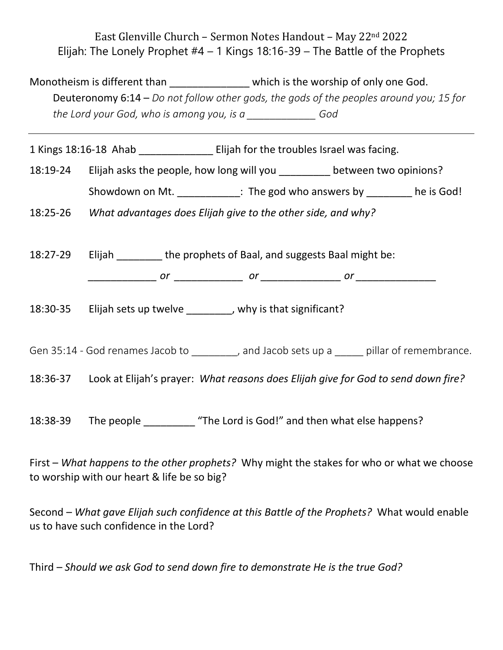East Glenville Church – Sermon Notes Handout – May 22nd 2022 Elijah: The Lonely Prophet  $#4 - 1$  Kings 18:16-39 – The Battle of the Prophets

Monotheism is different than **which is the worship of only one God.**  Deuteronomy 6:14 – *Do not follow other gods, the gods of the peoples around you; 15 for the Lord your God, who is among you, is a \_\_\_\_\_\_\_\_\_\_\_\_ God*

1 Kings 18:16-18 Ahab **Elijah for the troubles Israel was facing**.

18:19-24 Elijah asks the people, how long will you \_\_\_\_\_\_\_\_\_ between two opinions?

Showdown on Mt. \_\_\_\_\_\_\_\_\_\_\_\_: The god who answers by \_\_\_\_\_\_\_\_ he is God!

18:25-26 *What advantages does Elijah give to the other side, and why?*

18:27-29 Elijah \_\_\_\_\_\_\_\_ the prophets of Baal, and suggests Baal might be:

*\_\_\_\_\_\_\_\_\_\_\_\_ or \_\_\_\_\_\_\_\_\_\_\_\_ or \_\_\_\_\_\_\_\_\_\_\_\_\_\_ or \_\_\_\_\_\_\_\_\_\_\_\_\_\_*

18:30-35 Elijah sets up twelve \_\_\_\_\_\_\_, why is that significant?

Gen 35:14 - God renames Jacob to ending and Jacob sets up a capabiliar of remembrance.

18:36-37 Look at Elijah's prayer: *What reasons does Elijah give for God to send down fire?* 

18:38-39 The people "The Lord is God!" and then what else happens?

First – *What happens to the other prophets?* Why might the stakes for who or what we choose to worship with our heart & life be so big?

Second – *What gave Elijah such confidence at this Battle of the Prophets?* What would enable us to have such confidence in the Lord?

Third – *Should we ask God to send down fire to demonstrate He is the true God?*